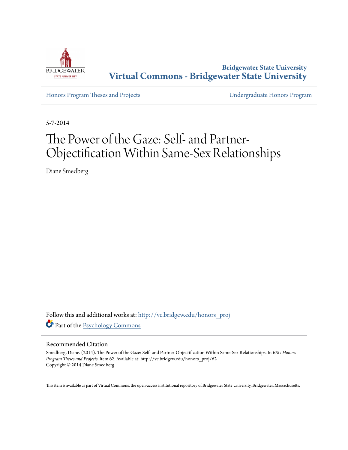

**Bridgewater State University [Virtual Commons - Bridgewater State University](http://vc.bridgew.edu?utm_source=vc.bridgew.edu%2Fhonors_proj%2F62&utm_medium=PDF&utm_campaign=PDFCoverPages)**

[Honors Program Theses and Projects](http://vc.bridgew.edu/honors_proj?utm_source=vc.bridgew.edu%2Fhonors_proj%2F62&utm_medium=PDF&utm_campaign=PDFCoverPages) [Undergraduate Honors Program](http://vc.bridgew.edu/honors?utm_source=vc.bridgew.edu%2Fhonors_proj%2F62&utm_medium=PDF&utm_campaign=PDFCoverPages)

5-7-2014

# The Power of the Gaze: Self- and Partner-Objectification Within Same-Sex Relationships

Diane Smedberg

Follow this and additional works at: [http://vc.bridgew.edu/honors\\_proj](http://vc.bridgew.edu/honors_proj?utm_source=vc.bridgew.edu%2Fhonors_proj%2F62&utm_medium=PDF&utm_campaign=PDFCoverPages) Part of the [Psychology Commons](http://network.bepress.com/hgg/discipline/404?utm_source=vc.bridgew.edu%2Fhonors_proj%2F62&utm_medium=PDF&utm_campaign=PDFCoverPages)

#### Recommended Citation

Smedberg, Diane. (2014). The Power of the Gaze: Self- and Partner-Objectification Within Same-Sex Relationships. In *BSU Honors Program Theses and Projects.* Item 62. Available at: http://vc.bridgew.edu/honors\_proj/62 Copyright © 2014 Diane Smedberg

This item is available as part of Virtual Commons, the open-access institutional repository of Bridgewater State University, Bridgewater, Massachusetts.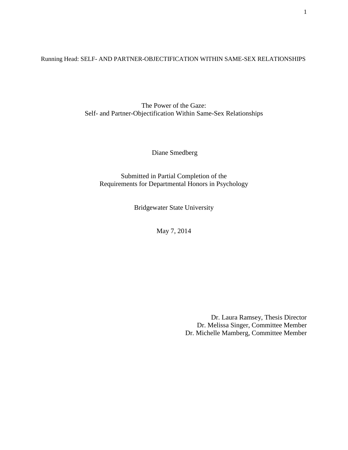Running Head: SELF- AND PARTNER-OBJECTIFICATION WITHIN SAME-SEX RELATIONSHIPS

The Power of the Gaze: Self- and Partner-Objectification Within Same-Sex Relationships

Diane Smedberg

Submitted in Partial Completion of the Requirements for Departmental Honors in Psychology

Bridgewater State University

May 7, 2014

Dr. Laura Ramsey, Thesis Director Dr. Melissa Singer, Committee Member Dr. Michelle Mamberg, Committee Member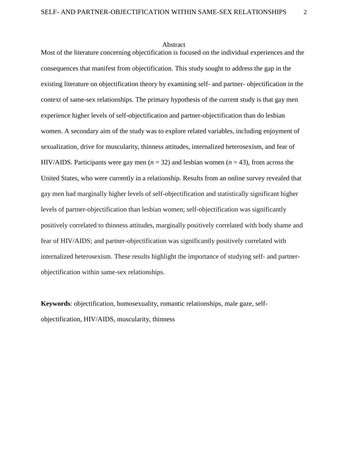#### Abstract

Most of the literature concerning objectification is focused on the individual experiences and the consequences that manifest from objectification. This study sought to address the gap in the existing literature on objectification theory by examining self- and partner- objectification in the context of same-sex relationships. The primary hypothesis of the current study is that gay men experience higher levels of self-objectification and partner-objectification than do lesbian women. A secondary aim of the study was to explore related variables, including enjoyment of sexualization, drive for muscularity, thinness attitudes, internalized heterosexism, and fear of HIV/AIDS. Participants were gay men  $(n = 32)$  and lesbian women  $(n = 43)$ , from across the United States, who were currently in a relationship. Results from an online survey revealed that gay men had marginally higher levels of self-objectification and statistically significant higher levels of partner-objectification than lesbian women; self-objectification was significantly positively correlated to thinness attitudes, marginally positively correlated with body shame and fear of HIV/AIDS; and partner-objectification was significantly positively correlated with internalized heterosexism. These results highlight the importance of studying self- and partnerobjectification within same-sex relationships.

**Keywords**: objectification, homosexuality, romantic relationships, male gaze, selfobjectification, HIV/AIDS, muscularity, thinness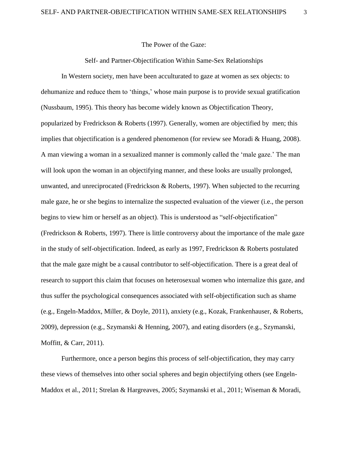The Power of the Gaze:

# Self- and Partner-Objectification Within Same-Sex Relationships

In Western society, men have been acculturated to gaze at women as sex objects: to dehumanize and reduce them to 'things,' whose main purpose is to provide sexual gratification (Nussbaum, 1995). This theory has become widely known as Objectification Theory, popularized by Fredrickson & Roberts (1997). Generally, women are objectified by men; this implies that objectification is a gendered phenomenon (for review see Moradi & Huang, 2008). A man viewing a woman in a sexualized manner is commonly called the 'male gaze.' The man will look upon the woman in an objectifying manner, and these looks are usually prolonged, unwanted, and unreciprocated (Fredrickson & Roberts, 1997). When subjected to the recurring male gaze, he or she begins to internalize the suspected evaluation of the viewer (i.e., the person begins to view him or herself as an object). This is understood as "self-objectification" (Fredrickson & Roberts, 1997). There is little controversy about the importance of the male gaze in the study of self-objectification. Indeed, as early as 1997, Fredrickson & Roberts postulated that the male gaze might be a causal contributor to self-objectification. There is a great deal of research to support this claim that focuses on heterosexual women who internalize this gaze, and thus suffer the psychological consequences associated with self-objectification such as shame (e.g., Engeln-Maddox, Miller, & Doyle, 2011), anxiety (e.g., Kozak, Frankenhauser, & Roberts, 2009), depression (e.g., Szymanski & Henning, 2007), and eating disorders (e.g., Szymanski, Moffitt, & Carr, 2011).

Furthermore, once a person begins this process of self-objectification, they may carry these views of themselves into other social spheres and begin objectifying others (see Engeln-Maddox et al., 2011; Strelan & Hargreaves, 2005; Szymanski et al., 2011; Wiseman & Moradi,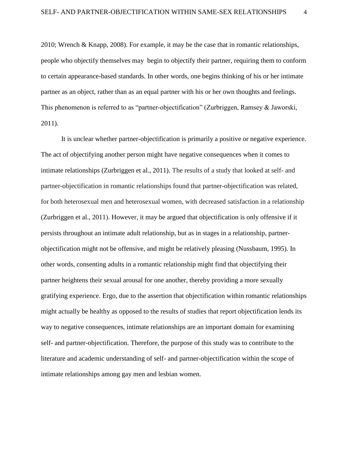2010; Wrench & Knapp, 2008). For example, it may be the case that in romantic relationships, people who objectify themselves may begin to objectify their partner, requiring them to conform to certain appearance-based standards. In other words, one begins thinking of his or her intimate partner as an object, rather than as an equal partner with his or her own thoughts and feelings. This phenomenon is referred to as "partner-objectification" (Zurbriggen, Ramsey & Jaworski, 2011).

It is unclear whether partner-objectification is primarily a positive or negative experience. The act of objectifying another person might have negative consequences when it comes to intimate relationships (Zurbriggen et al., 2011). The results of a study that looked at self- and partner-objectification in romantic relationships found that partner-objectification was related, for both heterosexual men and heterosexual women, with decreased satisfaction in a relationship (Zurbriggen et al., 2011). However, it may be argued that objectification is only offensive if it persists throughout an intimate adult relationship, but as in stages in a relationship, partnerobjectification might not be offensive, and might be relatively pleasing (Nussbaum, 1995). In other words, consenting adults in a romantic relationship might find that objectifying their partner heightens their sexual arousal for one another, thereby providing a more sexually gratifying experience. Ergo, due to the assertion that objectification within romantic relationships might actually be healthy as opposed to the results of studies that report objectification lends its way to negative consequences, intimate relationships are an important domain for examining self- and partner-objectification. Therefore, the purpose of this study was to contribute to the literature and academic understanding of self- and partner-objectification within the scope of intimate relationships among gay men and lesbian women.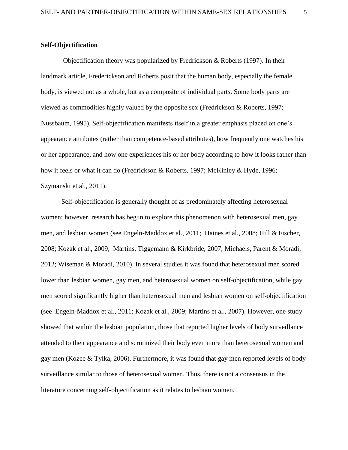# **Self-Objectification**

Objectification theory was popularized by Fredrickson & Roberts (1997). In their landmark article, Frederickson and Roberts posit that the human body, especially the female body, is viewed not as a whole, but as a composite of individual parts. Some body parts are viewed as commodities highly valued by the opposite sex (Fredrickson & Roberts, 1997; Nussbaum, 1995). Self-objectification manifests itself in a greater emphasis placed on one's appearance attributes (rather than competence-based attributes), how frequently one watches his or her appearance, and how one experiences his or her body according to how it looks rather than how it feels or what it can do (Fredrickson & Roberts, 1997; McKinley & Hyde, 1996; Szymanski et al., 2011).

Self-objectification is generally thought of as predominately affecting heterosexual women; however, research has begun to explore this phenomenon with heterosexual men, gay men, and lesbian women (see Engeln-Maddox et al., 2011; Haines et al., 2008; Hill & Fischer, 2008; Kozak et al., 2009; Martins, Tiggemann & Kirkbride, 2007; Michaels, Parent & Moradi, 2012; Wiseman & Moradi, 2010). In several studies it was found that heterosexual men scored lower than lesbian women, gay men, and heterosexual women on self-objectification, while gay men scored significantly higher than heterosexual men and lesbian women on self-objectification (see Engeln-Maddox et al., 2011; Kozak et al., 2009; Martins et al., 2007). However, one study showed that within the lesbian population, those that reported higher levels of body surveillance attended to their appearance and scrutinized their body even more than heterosexual women and gay men (Kozee & Tylka, 2006). Furthermore, it was found that gay men reported levels of body surveillance similar to those of heterosexual women. Thus, there is not a consensus in the literature concerning self-objectification as it relates to lesbian women.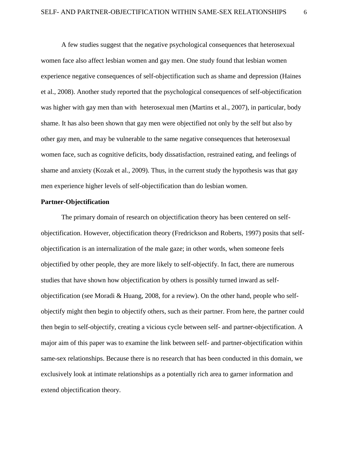A few studies suggest that the negative psychological consequences that heterosexual women face also affect lesbian women and gay men. One study found that lesbian women experience negative consequences of self-objectification such as shame and depression (Haines et al., 2008). Another study reported that the psychological consequences of self-objectification was higher with gay men than with heterosexual men (Martins et al., 2007), in particular, body shame. It has also been shown that gay men were objectified not only by the self but also by other gay men, and may be vulnerable to the same negative consequences that heterosexual women face, such as cognitive deficits, body dissatisfaction, restrained eating, and feelings of shame and anxiety (Kozak et al., 2009). Thus, in the current study the hypothesis was that gay men experience higher levels of self-objectification than do lesbian women.

## **Partner-Objectification**

The primary domain of research on objectification theory has been centered on selfobjectification. However, objectification theory (Fredrickson and Roberts, 1997) posits that selfobjectification is an internalization of the male gaze; in other words, when someone feels objectified by other people, they are more likely to self-objectify. In fact, there are numerous studies that have shown how objectification by others is possibly turned inward as selfobjectification (see Moradi & Huang, 2008, for a review). On the other hand, people who selfobjectify might then begin to objectify others, such as their partner. From here, the partner could then begin to self-objectify, creating a vicious cycle between self- and partner-objectification. A major aim of this paper was to examine the link between self- and partner-objectification within same-sex relationships. Because there is no research that has been conducted in this domain, we exclusively look at intimate relationships as a potentially rich area to garner information and extend objectification theory.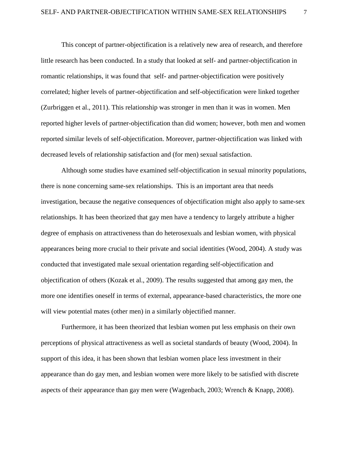This concept of partner-objectification is a relatively new area of research, and therefore little research has been conducted. In a study that looked at self- and partner-objectification in romantic relationships, it was found that self- and partner-objectification were positively correlated; higher levels of partner-objectification and self-objectification were linked together (Zurbriggen et al., 2011). This relationship was stronger in men than it was in women. Men reported higher levels of partner-objectification than did women; however, both men and women reported similar levels of self-objectification. Moreover, partner-objectification was linked with decreased levels of relationship satisfaction and (for men) sexual satisfaction.

Although some studies have examined self-objectification in sexual minority populations, there is none concerning same-sex relationships. This is an important area that needs investigation, because the negative consequences of objectification might also apply to same-sex relationships. It has been theorized that gay men have a tendency to largely attribute a higher degree of emphasis on attractiveness than do heterosexuals and lesbian women, with physical appearances being more crucial to their private and social identities (Wood, 2004). A study was conducted that investigated male sexual orientation regarding self-objectification and objectification of others (Kozak et al., 2009). The results suggested that among gay men, the more one identifies oneself in terms of external, appearance-based characteristics, the more one will view potential mates (other men) in a similarly objectified manner.

Furthermore, it has been theorized that lesbian women put less emphasis on their own perceptions of physical attractiveness as well as societal standards of beauty (Wood, 2004). In support of this idea, it has been shown that lesbian women place less investment in their appearance than do gay men, and lesbian women were more likely to be satisfied with discrete aspects of their appearance than gay men were (Wagenbach, 2003; Wrench & Knapp, 2008).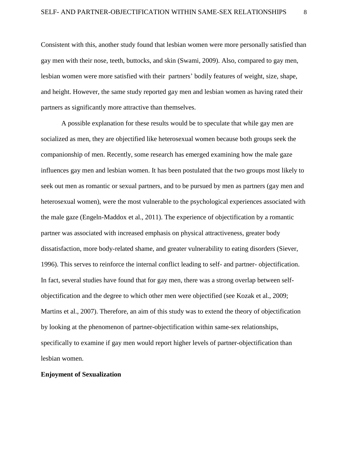Consistent with this, another study found that lesbian women were more personally satisfied than gay men with their nose, teeth, buttocks, and skin (Swami, 2009). Also, compared to gay men, lesbian women were more satisfied with their partners' bodily features of weight, size, shape, and height. However, the same study reported gay men and lesbian women as having rated their partners as significantly more attractive than themselves.

A possible explanation for these results would be to speculate that while gay men are socialized as men, they are objectified like heterosexual women because both groups seek the companionship of men. Recently, some research has emerged examining how the male gaze influences gay men and lesbian women. It has been postulated that the two groups most likely to seek out men as romantic or sexual partners, and to be pursued by men as partners (gay men and heterosexual women), were the most vulnerable to the psychological experiences associated with the male gaze (Engeln-Maddox et al., 2011). The experience of objectification by a romantic partner was associated with increased emphasis on physical attractiveness, greater body dissatisfaction, more body-related shame, and greater vulnerability to eating disorders (Siever, 1996). This serves to reinforce the internal conflict leading to self- and partner- objectification. In fact, several studies have found that for gay men, there was a strong overlap between selfobjectification and the degree to which other men were objectified (see Kozak et al., 2009; Martins et al., 2007). Therefore, an aim of this study was to extend the theory of objectification by looking at the phenomenon of partner-objectification within same-sex relationships, specifically to examine if gay men would report higher levels of partner-objectification than lesbian women.

# **Enjoyment of Sexualization**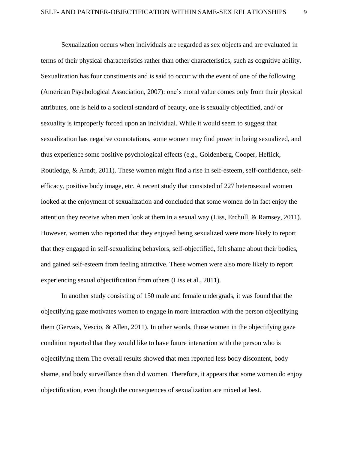Sexualization occurs when individuals are regarded as sex objects and are evaluated in terms of their physical characteristics rather than other characteristics, such as cognitive ability. Sexualization has four constituents and is said to occur with the event of one of the following (American Psychological Association, 2007): one's moral value comes only from their physical attributes, one is held to a societal standard of beauty, one is sexually objectified, and/ or sexuality is improperly forced upon an individual. While it would seem to suggest that sexualization has negative connotations, some women may find power in being sexualized, and thus experience some positive psychological effects (e.g., Goldenberg, Cooper, Heflick, Routledge, & Arndt, 2011). These women might find a rise in self-esteem, self-confidence, selfefficacy, positive body image, etc. A recent study that consisted of 227 heterosexual women looked at the enjoyment of sexualization and concluded that some women do in fact enjoy the attention they receive when men look at them in a sexual way (Liss, Erchull, & Ramsey, 2011). However, women who reported that they enjoyed being sexualized were more likely to report that they engaged in self-sexualizing behaviors, self-objectified, felt shame about their bodies, and gained self-esteem from feeling attractive. These women were also more likely to report experiencing sexual objectification from others (Liss et al., 2011).

In another study consisting of 150 male and female undergrads, it was found that the objectifying gaze motivates women to engage in more interaction with the person objectifying them (Gervais, Vescio, & Allen, 2011). In other words, those women in the objectifying gaze condition reported that they would like to have future interaction with the person who is objectifying them.The overall results showed that men reported less body discontent, body shame, and body surveillance than did women. Therefore, it appears that some women do enjoy objectification, even though the consequences of sexualization are mixed at best.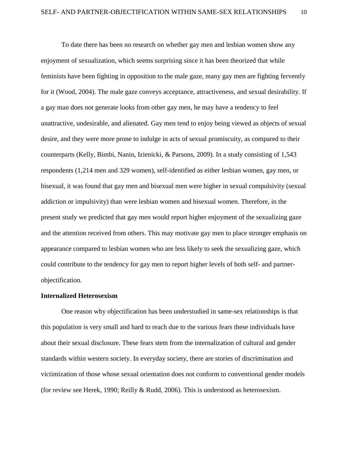To date there has been no research on whether gay men and lesbian women show any enjoyment of sexualization, which seems surprising since it has been theorized that while feminists have been fighting in opposition to the male gaze, many gay men are fighting fervently for it (Wood, 2004). The male gaze conveys acceptance, attractiveness, and sexual desirability. If a gay man does not generate looks from other gay men, he may have a tendency to feel unattractive, undesirable, and alienated. Gay men tend to enjoy being viewed as objects of sexual desire, and they were more prone to indulge in acts of sexual promiscuity, as compared to their counterparts (Kelly, Bimbi, Nanin, Izienicki, & Parsons, 2009). In a study consisting of 1,543 respondents (1,214 men and 329 women), self-identified as either lesbian women, gay men, or bisexual, it was found that gay men and bisexual men were higher in sexual compulsivity (sexual addiction or impulsivity) than were lesbian women and bisexual women. Therefore, in the present study we predicted that gay men would report higher enjoyment of the sexualizing gaze and the attention received from others. This may motivate gay men to place stronger emphasis on appearance compared to lesbian women who are less likely to seek the sexualizing gaze, which could contribute to the tendency for gay men to report higher levels of both self- and partnerobjectification.

#### **Internalized Heterosexism**

One reason why objectification has been understudied in same-sex relationships is that this population is very small and hard to reach due to the various fears these individuals have about their sexual disclosure. These fears stem from the internalization of cultural and gender standards within western society. In everyday society, there are stories of discrimination and victimization of those whose sexual orientation does not conform to conventional gender models (for review see Herek, 1990; Reilly & Rudd, 2006). This is understood as heterosexism.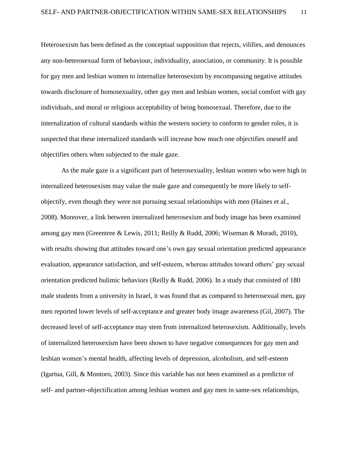Heterosexism has been defined as the conceptual supposition that rejects, vilifies, and denounces any non-heterosexual form of behaviour, individuality, association, or community. It is possible for gay men and lesbian women to internalize heterosexism by encompassing negative attitudes towards disclosure of homosexuality, other gay men and lesbian women, social comfort with gay individuals, and moral or religious acceptability of being homosexual. Therefore, due to the internalization of cultural standards within the western society to conform to gender roles, it is suspected that these internalized standards will increase how much one objectifies oneself and objectifies others when subjected to the male gaze.

As the male gaze is a significant part of heterosexuality, lesbian women who were high in internalized heterosexism may value the male gaze and consequently be more likely to selfobjectify, even though they were not pursuing sexual relationships with men (Haines et al., 2008). Moreover, a link between internalized heterosexism and body image has been examined among gay men (Greentree & Lewis, 2011; Reilly & Rudd, 2006; Wiseman & Moradi, 2010), with results showing that attitudes toward one's own gay sexual orientation predicted appearance evaluation, appearance satisfaction, and self-esteem, whereas attitudes toward others' gay sexual orientation predicted bulimic behaviors (Reilly & Rudd, 2006). In a study that consisted of 180 male students from a university in Israel, it was found that as compared to heterosexual men, gay men reported lower levels of self-acceptance and greater body image awareness (Gil, 2007). The decreased level of self-acceptance may stem from internalized heterosexism. Additionally, levels of internalized heterosexism have been shown to have negative consequences for gay men and lesbian women's mental health, affecting levels of depression, alcoholism, and self-esteem (Igartua, Gill, & Montoro, 2003). Since this variable has not been examined as a predictor of self- and partner-objectification among lesbian women and gay men in same-sex relationships,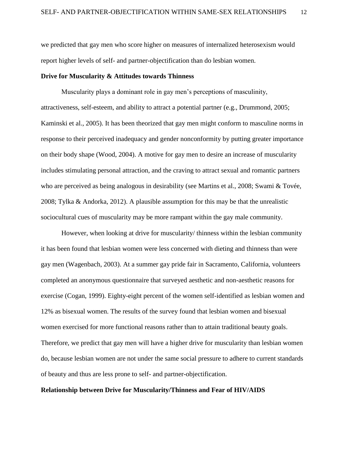we predicted that gay men who score higher on measures of internalized heterosexism would report higher levels of self- and partner-objectification than do lesbian women.

#### **Drive for Muscularity & Attitudes towards Thinness**

Muscularity plays a dominant role in gay men's perceptions of masculinity, attractiveness, self-esteem, and ability to attract a potential partner (e.g., Drummond, 2005; Kaminski et al., 2005). It has been theorized that gay men might conform to masculine norms in response to their perceived inadequacy and gender nonconformity by putting greater importance on their body shape (Wood, 2004). A motive for gay men to desire an increase of muscularity includes stimulating personal attraction, and the craving to attract sexual and romantic partners who are perceived as being analogous in desirability (see Martins et al., 2008; Swami & Tovée, 2008; Tylka & Andorka, 2012). A plausible assumption for this may be that the unrealistic sociocultural cues of muscularity may be more rampant within the gay male community.

However, when looking at drive for muscularity/ thinness within the lesbian community it has been found that lesbian women were less concerned with dieting and thinness than were gay men (Wagenbach, 2003). At a summer gay pride fair in Sacramento, California, volunteers completed an anonymous questionnaire that surveyed aesthetic and non-aesthetic reasons for exercise (Cogan, 1999). Eighty-eight percent of the women self-identified as lesbian women and 12% as bisexual women. The results of the survey found that lesbian women and bisexual women exercised for more functional reasons rather than to attain traditional beauty goals. Therefore, we predict that gay men will have a higher drive for muscularity than lesbian women do, because lesbian women are not under the same social pressure to adhere to current standards of beauty and thus are less prone to self- and partner-objectification.

#### **Relationship between Drive for Muscularity/Thinness and Fear of HIV/AIDS**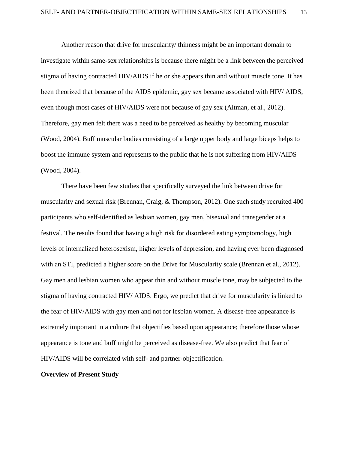Another reason that drive for muscularity/ thinness might be an important domain to investigate within same-sex relationships is because there might be a link between the perceived stigma of having contracted HIV/AIDS if he or she appears thin and without muscle tone. It has been theorized that because of the AIDS epidemic, gay sex became associated with HIV/ AIDS, even though most cases of HIV/AIDS were not because of gay sex (Altman, et al., 2012). Therefore, gay men felt there was a need to be perceived as healthy by becoming muscular (Wood, 2004). Buff muscular bodies consisting of a large upper body and large biceps helps to boost the immune system and represents to the public that he is not suffering from HIV/AIDS (Wood, 2004).

There have been few studies that specifically surveyed the link between drive for muscularity and sexual risk (Brennan, Craig, & Thompson, 2012). One such study recruited 400 participants who self-identified as lesbian women, gay men, bisexual and transgender at a festival. The results found that having a high risk for disordered eating symptomology, high levels of internalized heterosexism, higher levels of depression, and having ever been diagnosed with an STI, predicted a higher score on the Drive for Muscularity scale (Brennan et al., 2012). Gay men and lesbian women who appear thin and without muscle tone, may be subjected to the stigma of having contracted HIV/ AIDS. Ergo, we predict that drive for muscularity is linked to the fear of HIV/AIDS with gay men and not for lesbian women. A disease-free appearance is extremely important in a culture that objectifies based upon appearance; therefore those whose appearance is tone and buff might be perceived as disease-free. We also predict that fear of HIV/AIDS will be correlated with self- and partner-objectification.

#### **Overview of Present Study**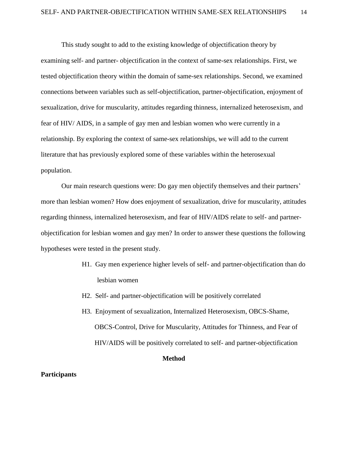This study sought to add to the existing knowledge of objectification theory by examining self- and partner- objectification in the context of same-sex relationships. First, we tested objectification theory within the domain of same-sex relationships. Second, we examined connections between variables such as self-objectification, partner-objectification, enjoyment of sexualization, drive for muscularity, attitudes regarding thinness, internalized heterosexism, and fear of HIV/ AIDS, in a sample of gay men and lesbian women who were currently in a relationship. By exploring the context of same-sex relationships, we will add to the current literature that has previously explored some of these variables within the heterosexual population.

Our main research questions were: Do gay men objectify themselves and their partners' more than lesbian women? How does enjoyment of sexualization, drive for muscularity, attitudes regarding thinness, internalized heterosexism, and fear of HIV/AIDS relate to self- and partnerobjectification for lesbian women and gay men? In order to answer these questions the following hypotheses were tested in the present study.

- H1. Gay men experience higher levels of self- and partner-objectification than do lesbian women
- H2. Self- and partner-objectification will be positively correlated
- H3. Enjoyment of sexualization, Internalized Heterosexism, OBCS-Shame, OBCS-Control, Drive for Muscularity, Attitudes for Thinness, and Fear of HIV/AIDS will be positively correlated to self- and partner-objectification

# **Method**

# **Participants**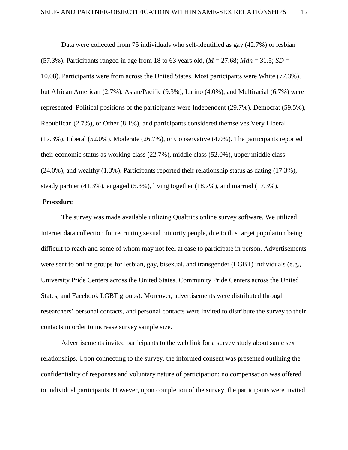Data were collected from 75 individuals who self-identified as gay (42.7%) or lesbian (57.3%). Participants ranged in age from 18 to 63 years old, (*M* = 27.68; *Mdn* = 31.5; *SD* = 10.08). Participants were from across the United States. Most participants were White (77.3%), but African American (2.7%), Asian/Pacific (9.3%), Latino (4.0%), and Multiracial (6.7%) were represented. Political positions of the participants were Independent (29.7%), Democrat (59.5%), Republican (2.7%), or Other (8.1%), and participants considered themselves Very Liberal (17.3%), Liberal (52.0%), Moderate (26.7%), or Conservative (4.0%). The participants reported their economic status as working class (22.7%), middle class (52.0%), upper middle class  $(24.0\%)$ , and wealthy  $(1.3\%)$ . Participants reported their relationship status as dating  $(17.3\%)$ , steady partner (41.3%), engaged (5.3%), living together (18.7%), and married (17.3%).

# **Procedure**

The survey was made available utilizing Qualtrics online survey software. We utilized Internet data collection for recruiting sexual minority people, due to this target population being difficult to reach and some of whom may not feel at ease to participate in person. Advertisements were sent to online groups for lesbian, gay, bisexual, and transgender (LGBT) individuals (e.g., University Pride Centers across the United States, Community Pride Centers across the United States, and Facebook LGBT groups). Moreover, advertisements were distributed through researchers' personal contacts, and personal contacts were invited to distribute the survey to their contacts in order to increase survey sample size.

Advertisements invited participants to the web link for a survey study about same sex relationships. Upon connecting to the survey, the informed consent was presented outlining the confidentiality of responses and voluntary nature of participation; no compensation was offered to individual participants. However, upon completion of the survey, the participants were invited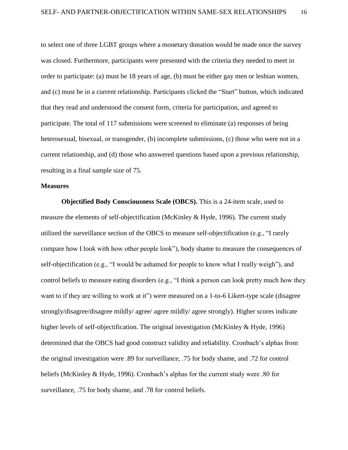to select one of three LGBT groups where a monetary donation would be made once the survey was closed. Furthermore, participants were presented with the criteria they needed to meet in order to participate: (a) must be 18 years of age, (b) must be either gay men or lesbian women, and (c) must be in a current relationship. Participants clicked the "Start" button, which indicated that they read and understood the consent form, criteria for participation, and agreed to participate. The total of 117 submissions were screened to eliminate (a) responses of being heterosexual, bisexual, or transgender, (b) incomplete submissions, (c) those who were not in a current relationship, and (d) those who answered questions based upon a previous relationship, resulting in a final sample size of 75.

# **Measures**

**Objectified Body Consciousness Scale (OBCS).** This is a 24-item scale, used to measure the elements of self-objectification (McKinley & Hyde, 1996). The current study utilized the surveillance section of the OBCS to measure self-objectification (e.g., "I rarely compare how I look with how other people look"), body shame to measure the consequences of self-objectification (e.g., "I would be ashamed for people to know what I really weigh"), and control beliefs to measure eating disorders (e.g., "I think a person can look pretty much how they want to if they are willing to work at it") were measured on a 1-to-6 Likert-type scale (disagree strongly/disagree/disagree mildly/ agree/ agree mildly/ agree strongly). Higher scores indicate higher levels of self-objectification. The original investigation (McKinley & Hyde, 1996) determined that the OBCS had good construct validity and reliability. Cronbach's alphas from the original investigation were .89 for surveillance, .75 for body shame, and .72 for control beliefs (McKinley & Hyde, 1996). Cronbach's alphas for the current study were .80 for surveillance, .75 for body shame, and .78 for control beliefs.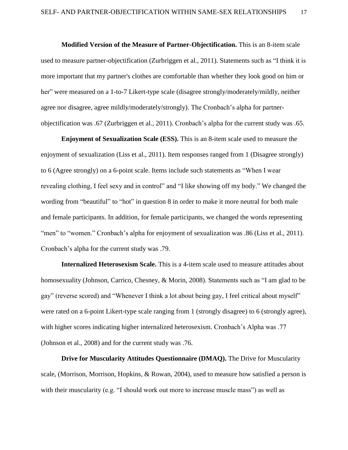**Modified Version of the Measure of Partner-Objectification.** This is an 8-item scale used to measure partner-objectification (Zurbriggen et al., 2011). Statements such as "I think it is more important that my partner's clothes are comfortable than whether they look good on him or her" were measured on a 1-to-7 Likert-type scale (disagree strongly/moderately/mildly, neither agree nor disagree, agree mildly/moderately/strongly). The Cronbach's alpha for partnerobjectification was .67 (Zurbriggen et al., 2011). Cronbach's alpha for the current study was .65.

**Enjoyment of Sexualization Scale (ESS).** This is an 8-item scale used to measure the enjoyment of sexualization (Liss et al., 2011). Item responses ranged from 1 (Disagree strongly) to 6 (Agree strongly) on a 6-point scale. Items include such statements as "When I wear revealing clothing, I feel sexy and in control" and "I like showing off my body." We changed the wording from "beautiful" to "hot" in question 8 in order to make it more neutral for both male and female participants. In addition, for female participants, we changed the words representing "men" to "women." Cronbach's alpha for enjoyment of sexualization was .86 (Liss et al., 2011). Cronbach's alpha for the current study was .79.

**Internalized Heterosexism Scale.** This is a 4-item scale used to measure attitudes about homosexuality (Johnson, Carrico, Chesney, & Morin, 2008). Statements such as "I am glad to be gay" (reverse scored) and "Whenever I think a lot about being gay, I feel critical about myself" were rated on a 6-point Likert-type scale ranging from 1 (strongly disagree) to 6 (strongly agree), with higher scores indicating higher internalized heterosexism. Cronbach's Alpha was .77 (Johnson et al., 2008) and for the current study was .76.

**Drive for Muscularity Attitudes Questionnaire (DMAQ).** The Drive for Muscularity scale, (Morrison, Morrison, Hopkins, & Rowan, 2004), used to measure how satisfied a person is with their muscularity (e.g. "I should work out more to increase muscle mass") as well as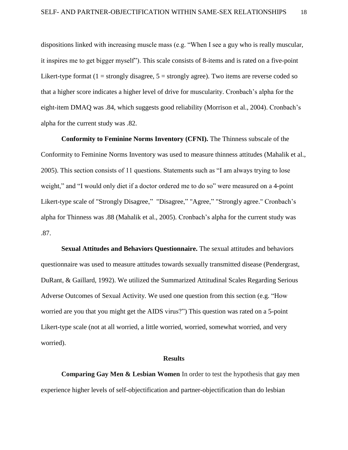dispositions linked with increasing muscle mass (e.g. "When I see a guy who is really muscular, it inspires me to get bigger myself"). This scale consists of 8-items and is rated on a five-point Likert-type format  $(1 =$  strongly disagree,  $5 =$  strongly agree). Two items are reverse coded so that a higher score indicates a higher level of drive for muscularity. Cronbach's alpha for the eight-item DMAQ was .84, which suggests good reliability (Morrison et al., 2004). Cronbach's alpha for the current study was .82.

**Conformity to Feminine Norms Inventory (CFNI).** The Thinness subscale of the Conformity to Feminine Norms Inventory was used to measure thinness attitudes (Mahalik et al., 2005). This section consists of 11 questions. Statements such as "I am always trying to lose weight," and "I would only diet if a doctor ordered me to do so" were measured on a 4-point Likert-type scale of "Strongly Disagree," "Disagree," "Agree," "Strongly agree." Cronbach's alpha for Thinness was .88 (Mahalik et al., 2005). Cronbach's alpha for the current study was .87.

**Sexual Attitudes and Behaviors Questionnaire.** The sexual attitudes and behaviors questionnaire was used to measure attitudes towards sexually transmitted disease (Pendergrast, DuRant, & Gaillard, 1992). We utilized the Summarized Attitudinal Scales Regarding Serious Adverse Outcomes of Sexual Activity. We used one question from this section (e.g. "How worried are you that you might get the AIDS virus?") This question was rated on a 5-point Likert-type scale (not at all worried, a little worried, worried, somewhat worried, and very worried).

#### **Results**

**Comparing Gay Men & Lesbian Women** In order to test the hypothesis that gay men experience higher levels of self-objectification and partner-objectification than do lesbian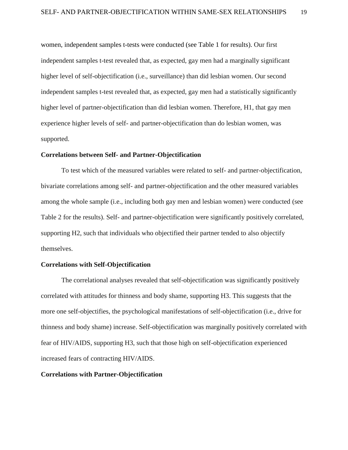women, independent samples t-tests were conducted (see Table 1 for results). Our first independent samples t-test revealed that, as expected, gay men had a marginally significant higher level of self-objectification (i.e., surveillance) than did lesbian women. Our second independent samples t-test revealed that, as expected, gay men had a statistically significantly higher level of partner-objectification than did lesbian women. Therefore, H1, that gay men experience higher levels of self- and partner-objectification than do lesbian women, was supported.

# **Correlations between Self- and Partner-Objectification**

To test which of the measured variables were related to self- and partner-objectification, bivariate correlations among self- and partner-objectification and the other measured variables among the whole sample (i.e., including both gay men and lesbian women) were conducted (see Table 2 for the results). Self- and partner-objectification were significantly positively correlated, supporting H2, such that individuals who objectified their partner tended to also objectify themselves.

#### **Correlations with Self-Objectification**

The correlational analyses revealed that self-objectification was significantly positively correlated with attitudes for thinness and body shame, supporting H3. This suggests that the more one self-objectifies, the psychological manifestations of self-objectification (i.e., drive for thinness and body shame) increase. Self-objectification was marginally positively correlated with fear of HIV/AIDS, supporting H3, such that those high on self-objectification experienced increased fears of contracting HIV/AIDS.

#### **Correlations with Partner-Objectification**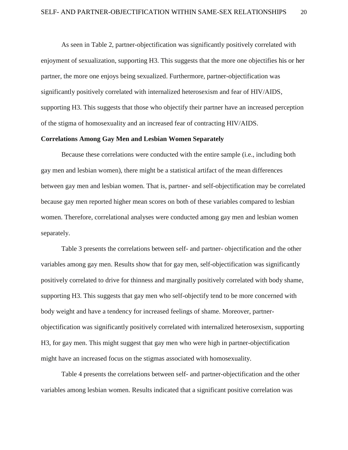As seen in Table 2, partner-objectification was significantly positively correlated with enjoyment of sexualization, supporting H3. This suggests that the more one objectifies his or her partner, the more one enjoys being sexualized. Furthermore, partner-objectification was significantly positively correlated with internalized heterosexism and fear of HIV/AIDS, supporting H3. This suggests that those who objectify their partner have an increased perception of the stigma of homosexuality and an increased fear of contracting HIV/AIDS.

# **Correlations Among Gay Men and Lesbian Women Separately**

Because these correlations were conducted with the entire sample (i.e., including both gay men and lesbian women), there might be a statistical artifact of the mean differences between gay men and lesbian women. That is, partner- and self-objectification may be correlated because gay men reported higher mean scores on both of these variables compared to lesbian women. Therefore, correlational analyses were conducted among gay men and lesbian women separately.

Table 3 presents the correlations between self- and partner- objectification and the other variables among gay men. Results show that for gay men, self-objectification was significantly positively correlated to drive for thinness and marginally positively correlated with body shame, supporting H3. This suggests that gay men who self-objectify tend to be more concerned with body weight and have a tendency for increased feelings of shame. Moreover, partnerobjectification was significantly positively correlated with internalized heterosexism, supporting H3, for gay men. This might suggest that gay men who were high in partner-objectification might have an increased focus on the stigmas associated with homosexuality.

Table 4 presents the correlations between self- and partner-objectification and the other variables among lesbian women. Results indicated that a significant positive correlation was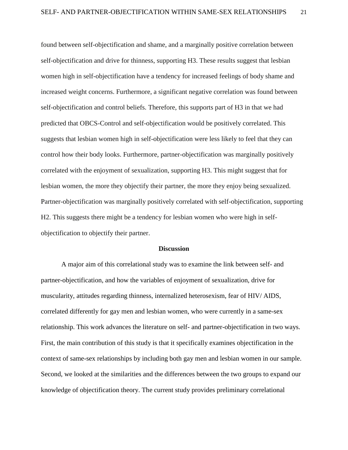found between self-objectification and shame, and a marginally positive correlation between self-objectification and drive for thinness, supporting H3. These results suggest that lesbian women high in self-objectification have a tendency for increased feelings of body shame and increased weight concerns. Furthermore, a significant negative correlation was found between self-objectification and control beliefs. Therefore, this supports part of H3 in that we had predicted that OBCS-Control and self-objectification would be positively correlated. This suggests that lesbian women high in self-objectification were less likely to feel that they can control how their body looks. Furthermore, partner-objectification was marginally positively correlated with the enjoyment of sexualization, supporting H3. This might suggest that for lesbian women, the more they objectify their partner, the more they enjoy being sexualized. Partner-objectification was marginally positively correlated with self-objectification, supporting H2. This suggests there might be a tendency for lesbian women who were high in selfobjectification to objectify their partner.

#### **Discussion**

A major aim of this correlational study was to examine the link between self- and partner-objectification, and how the variables of enjoyment of sexualization, drive for muscularity, attitudes regarding thinness, internalized heterosexism, fear of HIV/ AIDS, correlated differently for gay men and lesbian women, who were currently in a same-sex relationship. This work advances the literature on self- and partner-objectification in two ways. First, the main contribution of this study is that it specifically examines objectification in the context of same-sex relationships by including both gay men and lesbian women in our sample. Second, we looked at the similarities and the differences between the two groups to expand our knowledge of objectification theory. The current study provides preliminary correlational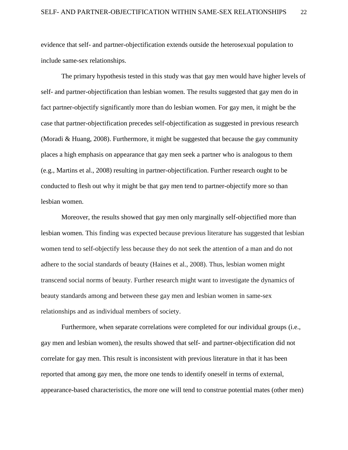evidence that self- and partner-objectification extends outside the heterosexual population to include same-sex relationships.

The primary hypothesis tested in this study was that gay men would have higher levels of self- and partner-objectification than lesbian women. The results suggested that gay men do in fact partner-objectify significantly more than do lesbian women. For gay men, it might be the case that partner-objectification precedes self-objectification as suggested in previous research (Moradi & Huang, 2008). Furthermore, it might be suggested that because the gay community places a high emphasis on appearance that gay men seek a partner who is analogous to them (e.g., Martins et al., 2008) resulting in partner-objectification. Further research ought to be conducted to flesh out why it might be that gay men tend to partner-objectify more so than lesbian women.

Moreover, the results showed that gay men only marginally self-objectified more than lesbian women. This finding was expected because previous literature has suggested that lesbian women tend to self-objectify less because they do not seek the attention of a man and do not adhere to the social standards of beauty (Haines et al., 2008). Thus, lesbian women might transcend social norms of beauty. Further research might want to investigate the dynamics of beauty standards among and between these gay men and lesbian women in same-sex relationships and as individual members of society.

Furthermore, when separate correlations were completed for our individual groups (i.e., gay men and lesbian women), the results showed that self- and partner-objectification did not correlate for gay men. This result is inconsistent with previous literature in that it has been reported that among gay men, the more one tends to identify oneself in terms of external, appearance-based characteristics, the more one will tend to construe potential mates (other men)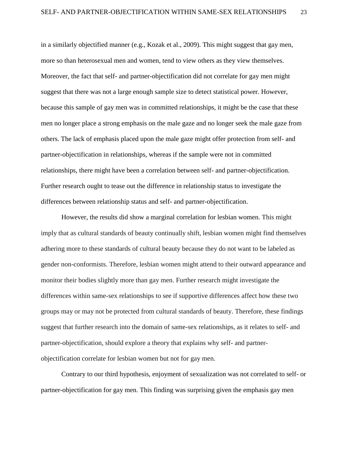in a similarly objectified manner (e.g., Kozak et al., 2009). This might suggest that gay men, more so than heterosexual men and women, tend to view others as they view themselves. Moreover, the fact that self- and partner-objectification did not correlate for gay men might suggest that there was not a large enough sample size to detect statistical power. However, because this sample of gay men was in committed relationships, it might be the case that these men no longer place a strong emphasis on the male gaze and no longer seek the male gaze from others. The lack of emphasis placed upon the male gaze might offer protection from self- and partner-objectification in relationships, whereas if the sample were not in committed relationships, there might have been a correlation between self- and partner-objectification. Further research ought to tease out the difference in relationship status to investigate the differences between relationship status and self- and partner-objectification.

However, the results did show a marginal correlation for lesbian women. This might imply that as cultural standards of beauty continually shift, lesbian women might find themselves adhering more to these standards of cultural beauty because they do not want to be labeled as gender non-conformists. Therefore, lesbian women might attend to their outward appearance and monitor their bodies slightly more than gay men. Further research might investigate the differences within same-sex relationships to see if supportive differences affect how these two groups may or may not be protected from cultural standards of beauty. Therefore, these findings suggest that further research into the domain of same-sex relationships, as it relates to self- and partner-objectification, should explore a theory that explains why self- and partnerobjectification correlate for lesbian women but not for gay men.

Contrary to our third hypothesis, enjoyment of sexualization was not correlated to self- or partner-objectification for gay men. This finding was surprising given the emphasis gay men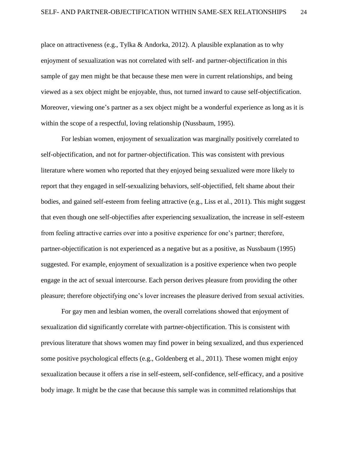place on attractiveness (e.g., Tylka & Andorka, 2012). A plausible explanation as to why enjoyment of sexualization was not correlated with self- and partner-objectification in this sample of gay men might be that because these men were in current relationships, and being viewed as a sex object might be enjoyable, thus, not turned inward to cause self-objectification. Moreover, viewing one's partner as a sex object might be a wonderful experience as long as it is within the scope of a respectful, loving relationship (Nussbaum, 1995).

For lesbian women, enjoyment of sexualization was marginally positively correlated to self-objectification, and not for partner-objectification. This was consistent with previous literature where women who reported that they enjoyed being sexualized were more likely to report that they engaged in self-sexualizing behaviors, self-objectified, felt shame about their bodies, and gained self-esteem from feeling attractive (e.g., Liss et al., 2011). This might suggest that even though one self-objectifies after experiencing sexualization, the increase in self-esteem from feeling attractive carries over into a positive experience for one's partner; therefore, partner-objectification is not experienced as a negative but as a positive, as Nussbaum (1995) suggested. For example, enjoyment of sexualization is a positive experience when two people engage in the act of sexual intercourse. Each person derives pleasure from providing the other pleasure; therefore objectifying one's lover increases the pleasure derived from sexual activities.

For gay men and lesbian women, the overall correlations showed that enjoyment of sexualization did significantly correlate with partner-objectification. This is consistent with previous literature that shows women may find power in being sexualized, and thus experienced some positive psychological effects (e.g., Goldenberg et al., 2011). These women might enjoy sexualization because it offers a rise in self-esteem, self-confidence, self-efficacy, and a positive body image. It might be the case that because this sample was in committed relationships that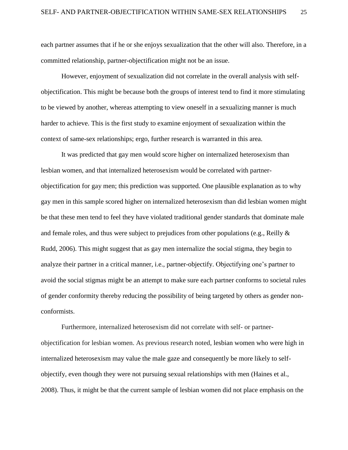each partner assumes that if he or she enjoys sexualization that the other will also. Therefore, in a committed relationship, partner-objectification might not be an issue.

However, enjoyment of sexualization did not correlate in the overall analysis with selfobjectification. This might be because both the groups of interest tend to find it more stimulating to be viewed by another, whereas attempting to view oneself in a sexualizing manner is much harder to achieve. This is the first study to examine enjoyment of sexualization within the context of same-sex relationships; ergo, further research is warranted in this area.

It was predicted that gay men would score higher on internalized heterosexism than lesbian women, and that internalized heterosexism would be correlated with partnerobjectification for gay men; this prediction was supported. One plausible explanation as to why gay men in this sample scored higher on internalized heterosexism than did lesbian women might be that these men tend to feel they have violated traditional gender standards that dominate male and female roles, and thus were subject to prejudices from other populations (e.g., Reilly & Rudd, 2006). This might suggest that as gay men internalize the social stigma, they begin to analyze their partner in a critical manner, i.e., partner-objectify. Objectifying one's partner to avoid the social stigmas might be an attempt to make sure each partner conforms to societal rules of gender conformity thereby reducing the possibility of being targeted by others as gender nonconformists.

Furthermore, internalized heterosexism did not correlate with self- or partnerobjectification for lesbian women. As previous research noted, lesbian women who were high in internalized heterosexism may value the male gaze and consequently be more likely to selfobjectify, even though they were not pursuing sexual relationships with men (Haines et al., 2008). Thus, it might be that the current sample of lesbian women did not place emphasis on the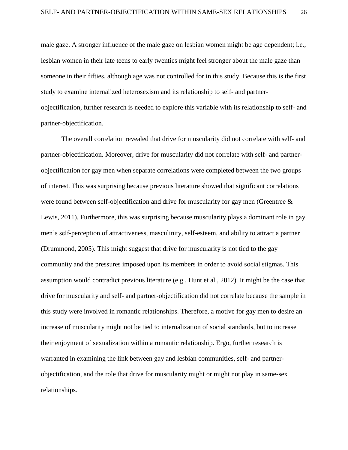male gaze. A stronger influence of the male gaze on lesbian women might be age dependent; i.e., lesbian women in their late teens to early twenties might feel stronger about the male gaze than someone in their fifties, although age was not controlled for in this study. Because this is the first study to examine internalized heterosexism and its relationship to self- and partnerobjectification, further research is needed to explore this variable with its relationship to self- and partner-objectification.

The overall correlation revealed that drive for muscularity did not correlate with self- and partner-objectification. Moreover, drive for muscularity did not correlate with self- and partnerobjectification for gay men when separate correlations were completed between the two groups of interest. This was surprising because previous literature showed that significant correlations were found between self-objectification and drive for muscularity for gay men (Greentree & Lewis, 2011). Furthermore, this was surprising because muscularity plays a dominant role in gay men's self-perception of attractiveness, masculinity, self-esteem, and ability to attract a partner (Drummond, 2005). This might suggest that drive for muscularity is not tied to the gay community and the pressures imposed upon its members in order to avoid social stigmas. This assumption would contradict previous literature (e.g., Hunt et al., 2012). It might be the case that drive for muscularity and self- and partner-objectification did not correlate because the sample in this study were involved in romantic relationships. Therefore, a motive for gay men to desire an increase of muscularity might not be tied to internalization of social standards, but to increase their enjoyment of sexualization within a romantic relationship. Ergo, further research is warranted in examining the link between gay and lesbian communities, self- and partnerobjectification, and the role that drive for muscularity might or might not play in same-sex relationships.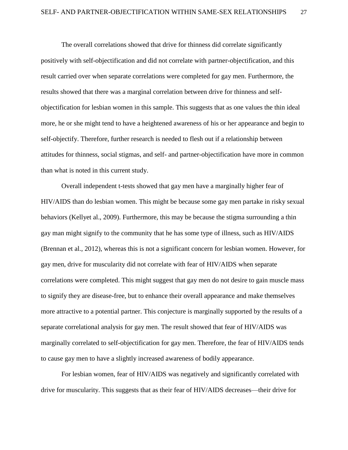The overall correlations showed that drive for thinness did correlate significantly positively with self-objectification and did not correlate with partner-objectification, and this result carried over when separate correlations were completed for gay men. Furthermore, the results showed that there was a marginal correlation between drive for thinness and selfobjectification for lesbian women in this sample. This suggests that as one values the thin ideal more, he or she might tend to have a heightened awareness of his or her appearance and begin to self-objectify. Therefore, further research is needed to flesh out if a relationship between attitudes for thinness, social stigmas, and self- and partner-objectification have more in common than what is noted in this current study.

Overall independent t-tests showed that gay men have a marginally higher fear of HIV/AIDS than do lesbian women. This might be because some gay men partake in risky sexual behaviors (Kellyet al., 2009). Furthermore, this may be because the stigma surrounding a thin gay man might signify to the community that he has some type of illness, such as HIV/AIDS (Brennan et al., 2012), whereas this is not a significant concern for lesbian women. However, for gay men, drive for muscularity did not correlate with fear of HIV/AIDS when separate correlations were completed. This might suggest that gay men do not desire to gain muscle mass to signify they are disease-free, but to enhance their overall appearance and make themselves more attractive to a potential partner. This conjecture is marginally supported by the results of a separate correlational analysis for gay men. The result showed that fear of HIV/AIDS was marginally correlated to self-objectification for gay men. Therefore, the fear of HIV/AIDS tends to cause gay men to have a slightly increased awareness of bodily appearance.

For lesbian women, fear of HIV/AIDS was negatively and significantly correlated with drive for muscularity. This suggests that as their fear of HIV/AIDS decreases—their drive for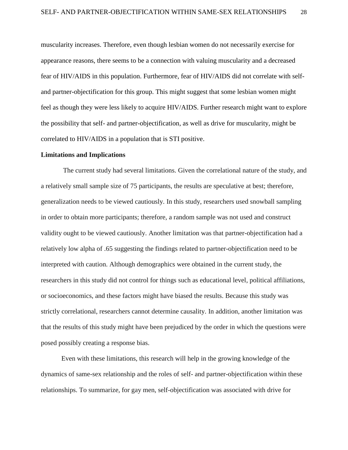muscularity increases. Therefore, even though lesbian women do not necessarily exercise for appearance reasons, there seems to be a connection with valuing muscularity and a decreased fear of HIV/AIDS in this population. Furthermore, fear of HIV/AIDS did not correlate with selfand partner-objectification for this group. This might suggest that some lesbian women might feel as though they were less likely to acquire HIV/AIDS. Further research might want to explore the possibility that self- and partner-objectification, as well as drive for muscularity, might be correlated to HIV/AIDS in a population that is STI positive.

#### **Limitations and Implications**

The current study had several limitations. Given the correlational nature of the study, and a relatively small sample size of 75 participants, the results are speculative at best; therefore, generalization needs to be viewed cautiously. In this study, researchers used snowball sampling in order to obtain more participants; therefore, a random sample was not used and construct validity ought to be viewed cautiously. Another limitation was that partner-objectification had a relatively low alpha of .65 suggesting the findings related to partner-objectification need to be interpreted with caution. Although demographics were obtained in the current study, the researchers in this study did not control for things such as educational level, political affiliations, or socioeconomics, and these factors might have biased the results. Because this study was strictly correlational, researchers cannot determine causality. In addition, another limitation was that the results of this study might have been prejudiced by the order in which the questions were posed possibly creating a response bias.

Even with these limitations, this research will help in the growing knowledge of the dynamics of same-sex relationship and the roles of self- and partner-objectification within these relationships. To summarize, for gay men, self-objectification was associated with drive for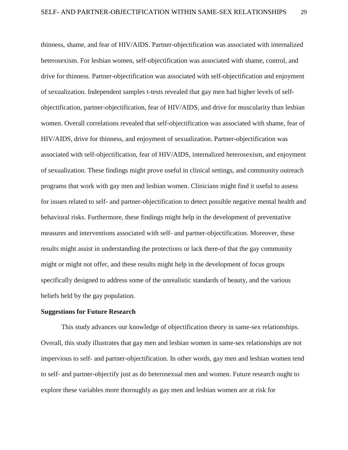thinness, shame, and fear of HIV/AIDS. Partner-objectification was associated with internalized heterosexism. For lesbian women, self-objectification was associated with shame, control, and drive for thinness. Partner-objectification was associated with self-objectification and enjoyment of sexualization. Independent samples t-tests revealed that gay men had higher levels of selfobjectification, partner-objectification, fear of HIV/AIDS, and drive for muscularity than lesbian women. Overall correlations revealed that self-objectification was associated with shame, fear of HIV/AIDS, drive for thinness, and enjoyment of sexualization. Partner-objectification was associated with self-objectification, fear of HIV/AIDS, internalized heterosexism, and enjoyment of sexualization. These findings might prove useful in clinical settings, and community outreach programs that work with gay men and lesbian women. Clinicians might find it useful to assess for issues related to self- and partner-objectification to detect possible negative mental health and behavioral risks. Furthermore, these findings might help in the development of preventative measures and interventions associated with self- and partner-objectification. Moreover, these results might assist in understanding the protections or lack there-of that the gay community might or might not offer, and these results might help in the development of focus groups specifically designed to address some of the unrealistic standards of beauty, and the various beliefs held by the gay population.

# **Suggestions for Future Research**

This study advances our knowledge of objectification theory in same-sex relationships. Overall, this study illustrates that gay men and lesbian women in same-sex relationships are not impervious to self- and partner-objectification. In other words, gay men and lesbian women tend to self- and partner-objectify just as do heterosexual men and women. Future research ought to explore these variables more thoroughly as gay men and lesbian women are at risk for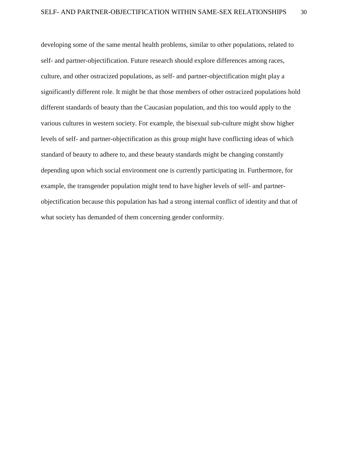developing some of the same mental health problems, similar to other populations, related to self- and partner-objectification. Future research should explore differences among races, culture, and other ostracized populations, as self- and partner-objectification might play a significantly different role. It might be that those members of other ostracized populations hold different standards of beauty than the Caucasian population, and this too would apply to the various cultures in western society. For example, the bisexual sub-culture might show higher levels of self- and partner-objectification as this group might have conflicting ideas of which standard of beauty to adhere to, and these beauty standards might be changing constantly depending upon which social environment one is currently participating in. Furthermore, for example, the transgender population might tend to have higher levels of self- and partnerobjectification because this population has had a strong internal conflict of identity and that of what society has demanded of them concerning gender conformity.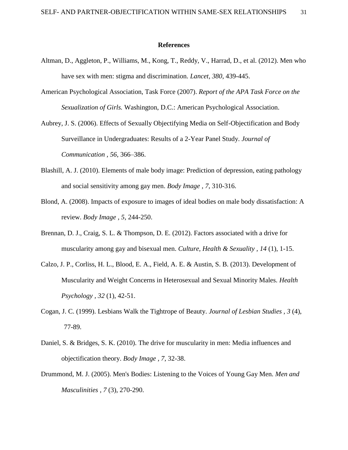#### **References**

- Altman, D., Aggleton, P., Williams, M., Kong, T., Reddy, V., Harrad, D., et al. (2012). Men who have sex with men: stigma and discrimination. *Lancet, 380*, 439-445.
- American Psychological Association, Task Force (2007). *Report of the APA Task Force on the Sexualization of Girls.* Washington, D.C.: American Psychological Association.
- Aubrey, J. S. (2006). Effects of Sexually Objectifying Media on Self-Objectification and Body Surveillance in Undergraduates: Results of a 2-Year Panel Study. *Journal of Communication , 56*, 366–386.
- Blashill, A. J. (2010). Elements of male body image: Prediction of depression, eating pathology and social sensitivity among gay men. *Body Image , 7*, 310-316.
- Blond, A. (2008). Impacts of exposure to images of ideal bodies on male body dissatisfaction: A review. *Body Image , 5*, 244-250.
- Brennan, D. J., Craig, S. L. & Thompson, D. E. (2012). Factors associated with a drive for muscularity among gay and bisexual men. *Culture, Health & Sexuality , 14* (1), 1-15.
- Calzo, J. P., Corliss, H. L., Blood, E. A., Field, A. E. & Austin, S. B. (2013). Development of Muscularity and Weight Concerns in Heterosexual and Sexual Minority Males. *Health Psychology , 32* (1), 42-51.
- Cogan, J. C. (1999). Lesbians Walk the Tightrope of Beauty. *Journal of Lesbian Studies , 3* (4), 77-89.
- Daniel, S. & Bridges, S. K. (2010). The drive for muscularity in men: Media influences and objectification theory. *Body Image , 7*, 32-38.
- Drummond, M. J. (2005). Men's Bodies: Listening to the Voices of Young Gay Men. *Men and Masculinities , 7* (3), 270-290.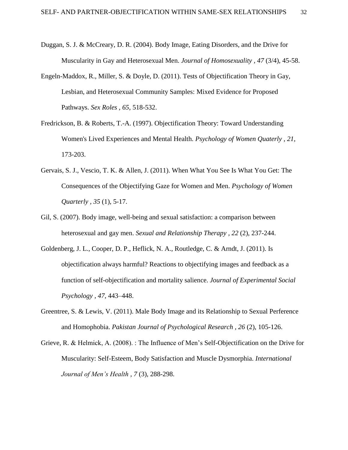- Duggan, S. J. & McCreary, D. R. (2004). Body Image, Eating Disorders, and the Drive for Muscularity in Gay and Heterosexual Men. *Journal of Homosexuality , 47* (3/4), 45-58.
- Engeln-Maddox, R., Miller, S. & Doyle, D. (2011). Tests of Objectification Theory in Gay, Lesbian, and Heterosexual Community Samples: Mixed Evidence for Proposed Pathways. *Sex Roles , 65*, 518-532.
- Fredrickson, B. & Roberts, T.-A. (1997). Objectification Theory: Toward Understanding Women's Lived Experiences and Mental Health. *Psychology of Women Quaterly , 21*, 173-203.
- Gervais, S. J., Vescio, T. K. & Allen, J. (2011). When What You See Is What You Get: The Consequences of the Objectifying Gaze for Women and Men. *Psychology of Women Quarterly , 35* (1), 5-17.
- Gil, S. (2007). Body image, well-being and sexual satisfaction: a comparison between heterosexual and gay men. *Sexual and Relationship Therapy , 22* (2), 237-244.
- Goldenberg, J. L., Cooper, D. P., Heflick, N. A., Routledge, C. & Arndt, J. (2011). Is objectification always harmful? Reactions to objectifying images and feedback as a function of self-objectification and mortality salience. *Journal of Experimental Social Psychology , 47*, 443–448.
- Greentree, S. & Lewis, V. (2011). Male Body Image and its Relationship to Sexual Perference and Homophobia. *Pakistan Journal of Psychological Research , 26* (2), 105-126.
- Grieve, R. & Helmick, A. (2008). : The Influence of Men's Self-Objectification on the Drive for Muscularity: Self-Esteem, Body Satisfaction and Muscle Dysmorphia. *International Journal of Men's Health , 7* (3), 288-298.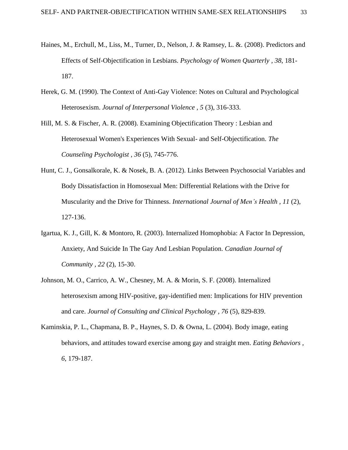- Haines, M., Erchull, M., Liss, M., Turner, D., Nelson, J. & Ramsey, L. &. (2008). Predictors and Effects of Self-Objectification in Lesbians. *Psychology of Women Quarterly , 38*, 181- 187.
- Herek, G. M. (1990). The Context of Anti-Gay Violence: Notes on Cultural and Psychological Heterosexism. *Journal of Interpersonal Violence , 5* (3), 316-333.
- Hill, M. S. & Fischer, A. R. (2008). Examining Objectification Theory : Lesbian and Heterosexual Women's Experiences With Sexual- and Self-Objectification. *The Counseling Psychologist , 36* (5), 745-776.
- Hunt, C. J., Gonsalkorale, K. & Nosek, B. A. (2012). Links Between Psychosocial Variables and Body Dissatisfaction in Homosexual Men: Differential Relations with the Drive for Muscularity and the Drive for Thinness. *International Journal of Men's Health , 11* (2), 127-136.
- Igartua, K. J., Gill, K. & Montoro, R. (2003). Internalized Homophobia: A Factor In Depression, Anxiety, And Suicide In The Gay And Lesbian Population. *Canadian Journal of Community , 22* (2), 15-30.
- Johnson, M. O., Carrico, A. W., Chesney, M. A. & Morin, S. F. (2008). Internalized heterosexism among HIV-positive, gay-identified men: Implications for HIV prevention and care. *Journal of Consulting and Clinical Psychology , 76* (5), 829-839.
- Kaminskia, P. L., Chapmana, B. P., Haynes, S. D. & Owna, L. (2004). Body image, eating behaviors, and attitudes toward exercise among gay and straight men. *Eating Behaviors , 6*, 179-187.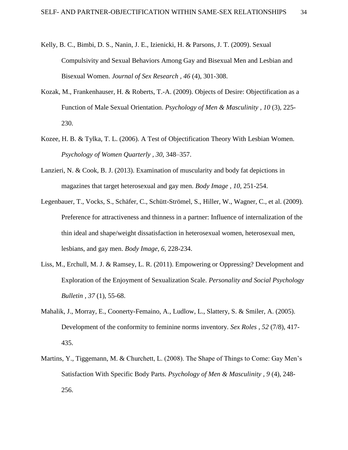- Kelly, B. C., Bimbi, D. S., Nanin, J. E., Izienicki, H. & Parsons, J. T. (2009). Sexual Compulsivity and Sexual Behaviors Among Gay and Bisexual Men and Lesbian and Bisexual Women. *Journal of Sex Research , 46* (4), 301-308.
- Kozak, M., Frankenhauser, H. & Roberts, T.-A. (2009). Objects of Desire: Objectification as a Function of Male Sexual Orientation. *Psychology of Men & Masculinity , 10* (3), 225- 230.
- Kozee, H. B. & Tylka, T. L. (2006). A Test of Objectification Theory With Lesbian Women. *Psychology of Women Quarterly , 30*, 348–357.
- Lanzieri, N. & Cook, B. J. (2013). Examination of muscularity and body fat depictions in magazines that target heterosexual and gay men. *Body Image , 10*, 251-254.
- Legenbauer, T., Vocks, S., Schäfer, C., Schütt-Strömel, S., Hiller, W., Wagner, C., et al. (2009). Preference for attractiveness and thinness in a partner: Influence of internalization of the thin ideal and shape/weight dissatisfaction in heterosexual women, heterosexual men, lesbians, and gay men. *Body Image, 6*, 228-234.
- Liss, M., Erchull, M. J. & Ramsey, L. R. (2011). Empowering or Oppressing? Development and Exploration of the Enjoyment of Sexualization Scale. *Personality and Social Psychology Bulletin , 37* (1), 55-68.
- Mahalik, J., Morray, E., Coonerty-Femaino, A., Ludlow, L., Slattery, S. & Smiler, A. (2005). Development of the conformity to feminine norms inventory. *Sex Roles , 52* (7/8), 417- 435.
- Martins, Y., Tiggemann, M. & Churchett, L. (2008). The Shape of Things to Come: Gay Men's Satisfaction With Specific Body Parts. *Psychology of Men & Masculinity , 9* (4), 248- 256.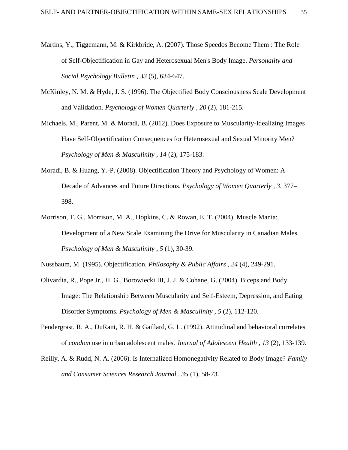- Martins, Y., Tiggemann, M. & Kirkbride, A. (2007). Those Speedos Become Them : The Role of Self-Objectification in Gay and Heterosexual Men's Body Image. *Personality and Social Psychology Bulletin , 33* (5), 634-647.
- McKinley, N. M. & Hyde, J. S. (1996). The Objectified Body Consciousness Scale Development and Validation. *Psychology of Women Quarterly , 20* (2), 181-215.
- Michaels, M., Parent, M. & Moradi, B. (2012). Does Exposure to Muscularity-Idealizing Images Have Self-Objectification Consequences for Heterosexual and Sexual Minority Men? *Psychology of Men & Masculinity , 14* (2), 175-183.
- Moradi, B. & Huang, Y.-P. (2008). Objectification Theory and Psychology of Women: A Decade of Advances and Future Directions. *Psychology of Women Quarterly , 3*, 377– 398.
- Morrison, T. G., Morrison, M. A., Hopkins, C. & Rowan, E. T. (2004). Muscle Mania: Development of a New Scale Examining the Drive for Muscularity in Canadian Males. *Psychology of Men & Masculinity , 5* (1), 30-39.

Nussbaum, M. (1995). Objectification. *Philosophy & Public Affairs , 24* (4), 249-291.

- Olivardia, R., Pope Jr., H. G., Borowiecki III, J. J. & Cohane, G. (2004). Biceps and Body Image: The Relationship Between Muscularity and Self-Esteem, Depression, and Eating Disorder Symptoms. *Psychology of Men & Masculinity , 5* (2), 112-120.
- Pendergrast, R. A., DuRant, R. H. & Gaillard, G. L. (1992). Attitudinal and behavioral correlates of *condom* use in urban adolescent males. *Journal of Adolescent Health , 13* (2), 133-139.
- Reilly, A. & Rudd, N. A. (2006). Is Internalized Homonegativity Related to Body Image? *Family and Consumer Sciences Research Journal , 35* (1), 58-73.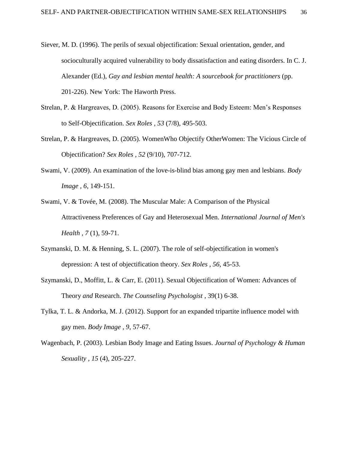- Siever, M. D. (1996). The perils of sexual objectification: Sexual orientation, gender, and socioculturally acquired vulnerability to body dissatisfaction and eating disorders. In C. J. Alexander (Ed.), *Gay and lesbian mental health: A sourcebook for practitioners* (pp. 201-226). New York: The Haworth Press.
- Strelan, P. & Hargreaves, D. (2005). Reasons for Exercise and Body Esteem: Men's Responses to Self-Objectification. *Sex Roles , 53* (7/8), 495-503.
- Strelan, P. & Hargreaves, D. (2005). WomenWho Objectify OtherWomen: The Vicious Circle of Objectification? *Sex Roles , 52* (9/10), 707-712.
- Swami, V. (2009). An examination of the love-is-blind bias among gay men and lesbians. *Body Image , 6*, 149-151.
- Swami, V. & Tovée, M. (2008). The Muscular Male: A Comparison of the Physical Attractiveness Preferences of Gay and Heterosexual Men. *International Journal of Men's Health , 7* (1), 59-71.
- Szymanski, D. M. & Henning, S. L. (2007). The role of self-objectification in women's depression: A test of objectification theory. *Sex Roles , 56*, 45-53.
- Szymanski, D., Moffitt, L. & Carr, E. (2011). Sexual Objectification of Women: Advances of Theory *and* Research. *The Counseling Psychologist* , 39(1) 6-38.
- Tylka, T. L. & Andorka, M. J. (2012). Support for an expanded tripartite influence model with gay men. *Body Image , 9*, 57-67.
- Wagenbach, P. (2003). Lesbian Body Image and Eating Issues. *Journal of Psychology & Human Sexuality , 15* (4), 205-227.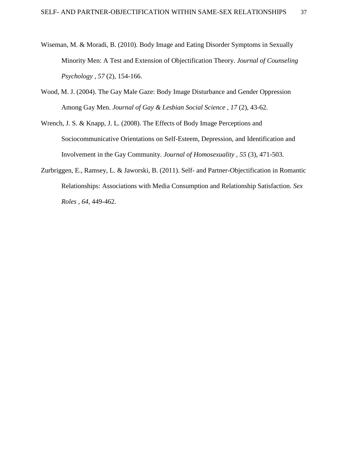- Wiseman, M. & Moradi, B. (2010). Body Image and Eating Disorder Symptoms in Sexually Minority Men: A Test and Extension of Objectification Theory. *Journal of Counseling Psychology , 57* (2), 154-166.
- Wood, M. J. (2004). The Gay Male Gaze: Body Image Disturbance and Gender Oppression Among Gay Men. *Journal of Gay & Lesbian Social Science , 17* (2), 43-62.
- Wrench, J. S. & Knapp, J. L. (2008). The Effects of Body Image Perceptions and Sociocommunicative Orientations on Self-Esteem, Depression, and Identification and Involvement in the Gay Community. *Journal of Homosexuality , 55* (3), 471-503.
- Zurbriggen, E., Ramsey, L. & Jaworski, B. (2011). Self- and Partner-Objectification in Romantic Relationships: Associations with Media Consumption and Relationship Satisfaction. *Sex Roles , 64*, 449-462.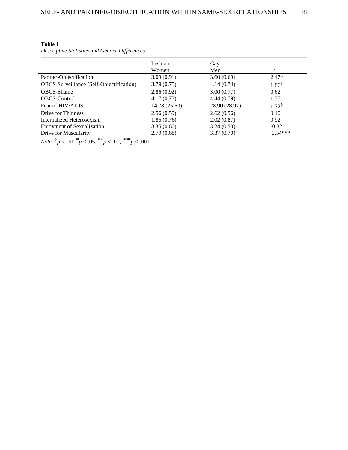| н<br><br>v<br>۰,<br>٠ |  |  |
|-----------------------|--|--|
|-----------------------|--|--|

*Descriptive Statistics and Gender Differences*

|                                          | Lesbian       | Gay           |                  |
|------------------------------------------|---------------|---------------|------------------|
|                                          | Women         | Men           |                  |
| Partner-Objectification                  | 3.09(0.91)    | 3.60(0.69)    | $2.47*$          |
| OBCS-Surveillance (Self-Objectification) | 3.79(0.75)    | 4.14(0.74)    | $1.86^{\dagger}$ |
| <b>OBCS-Shame</b>                        | 2.86(0.92)    | 3.00(0.77)    | 0.62             |
| <b>OBCS-Control</b>                      | 4.17(0.77)    | 4.44(0.79)    | 1.35             |
| Fear of HIV/AIDS                         | 14.78 (25.60) | 28.90 (28.97) | $1.72^{\dagger}$ |
| Drive for Thinness                       | 2.56(0.59)    | 2.62(0.56)    | 0.40             |
| Internalized Heterosexism                | 1.85(0.76)    | 2.02(0.87)    | 0.92             |
| Enjoyment of Sexualization               | 3.35(0.60)    | 3.24(0.50)    | $-0.82$          |
| Drive for Muscularity                    | 2.79(0.68)    | 3.37(0.70)    | $3.54***$        |

*Note.*  $\dot{p}$  < .10,  $\dot{p}$  < .05,  $\dot{p}$  \* *p* < .01, \*\*\* *p* < .001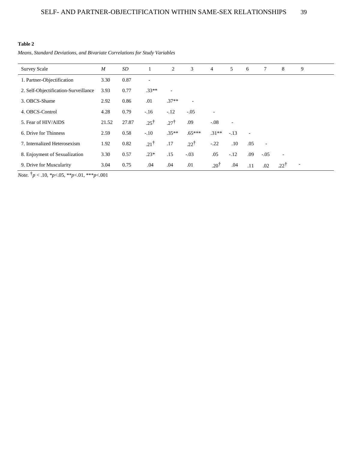#### **Table 2**

*Means, Standard Deviations, and Bivariate Correlations for Study Variables*

| <b>Survey Scale</b>                  | $\boldsymbol{M}$ | SD    |                 | 2                        | 3                        | $\overline{4}$           | 5                        | 6              | 7                        | 8                        | 9                        |
|--------------------------------------|------------------|-------|-----------------|--------------------------|--------------------------|--------------------------|--------------------------|----------------|--------------------------|--------------------------|--------------------------|
| 1. Partner-Objectification           | 3.30             | 0.87  | $\qquad \qquad$ |                          |                          |                          |                          |                |                          |                          |                          |
| 2. Self-Objectification-Surveillance | 3.93             | 0.77  | $.33**$         | $\overline{\phantom{a}}$ |                          |                          |                          |                |                          |                          |                          |
| 3. OBCS-Shame                        | 2.92             | 0.86  | .01             | $.37**$                  | $\overline{\phantom{a}}$ |                          |                          |                |                          |                          |                          |
| 4. OBCS-Control                      | 4.28             | 0.79  | $-.16$          | $-.12$                   | $-.05$                   | $\overline{\phantom{a}}$ |                          |                |                          |                          |                          |
| 5. Fear of HIV/AIDS                  | 21.52            | 27.87 | $.25^{\dagger}$ | $.27^{\dagger}$          | .09                      | $-.08$                   | $\overline{\phantom{a}}$ |                |                          |                          |                          |
| 6. Drive for Thinness                | 2.59             | 0.58  | $-.10$          | $.35**$                  | $.65***$                 | $.31**$                  | $-.13$                   | $\blacksquare$ |                          |                          |                          |
| 7. Internalized Heterosexism         | 1.92             | 0.82  | $.21^{\dagger}$ | .17                      | $.22^{\dagger}$          | $-.22$                   | .10                      | .05            | $\overline{\phantom{a}}$ |                          |                          |
| 8. Enjoyment of Sexualization        | 3.30             | 0.57  | $.23*$          | .15                      | $-.03$                   | .05                      | $-.12$                   | .09            | $-.05$                   | $\overline{\phantom{a}}$ |                          |
| 9. Drive for Muscularity             | 3.04             | 0.75  | .04             | .04                      | .01                      | $.20^{\dagger}$          | .04                      | .11            | .02                      | $.22^{\dagger}$          | $\overline{\phantom{a}}$ |

*Note.* †*p* < .10, \**p*<.05, \*\**p*<.01, \*\*\**p*<.001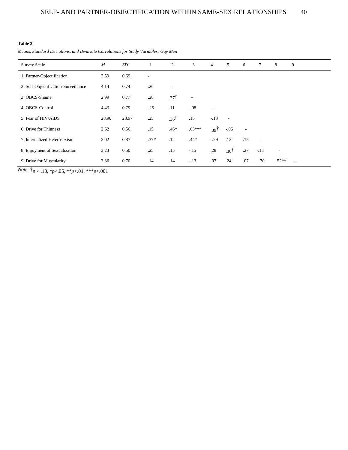#### **Table 3**

*Means, Standard Deviations, and Bivariate Correlations for Study Variables: Gay Men*

| <b>Survey Scale</b>                  | $\boldsymbol{M}$ | SD    | $\mathbf{1}$ | 2               | 3                        | $\overline{4}$           | 5                        | 6                        | 7                        | 8                        | 9 |
|--------------------------------------|------------------|-------|--------------|-----------------|--------------------------|--------------------------|--------------------------|--------------------------|--------------------------|--------------------------|---|
| 1. Partner-Objectification           | 3.59             | 0.69  | ٠            |                 |                          |                          |                          |                          |                          |                          |   |
| 2. Self-Objectification-Surveillance | 4.14             | 0.74  | .26          | ٠               |                          |                          |                          |                          |                          |                          |   |
| 3. OBCS-Shame                        | 2.99             | 0.77  | .28          | $37^{\dagger}$  | $\overline{\phantom{a}}$ |                          |                          |                          |                          |                          |   |
| 4. OBCS-Control                      | 4.43             | 0.79  | $-.25$       | .11             | $-0.08$                  | $\overline{\phantom{a}}$ |                          |                          |                          |                          |   |
| 5. Fear of HIV/AIDS                  | 28.90            | 28.97 | .25          | $.36^{\dagger}$ | .15                      | $-.13$                   | $\overline{\phantom{a}}$ |                          |                          |                          |   |
| 6. Drive for Thinness                | 2.62             | 0.56  | .15          | $.46*$          | $.63***$                 | †و3.                     | $-06$                    | $\overline{\phantom{a}}$ |                          |                          |   |
| 7. Internalized Heterosexism         | 2.02             | 0.87  | $.37*$       | .12             | $.44*$                   | $-.29$                   | .12                      | .15                      | $\overline{\phantom{a}}$ |                          |   |
| 8. Enjoyment of Sexualization        | 3.23             | 0.50  | .25          | .15             | $-.15$                   | .28                      | $.36^{\dagger}$          | .27                      | $-.13$                   | $\overline{\phantom{a}}$ |   |
| 9. Drive for Muscularity             | 3.36             | 0.70  | .14          | .14             | $-.13$                   | .07                      | .24                      | .07                      | .70                      | $.52**$                  | ٠ |

*Note.* †*p* < .10, \**p*<.05, \*\**p*<.01, \*\*\**p*<.001